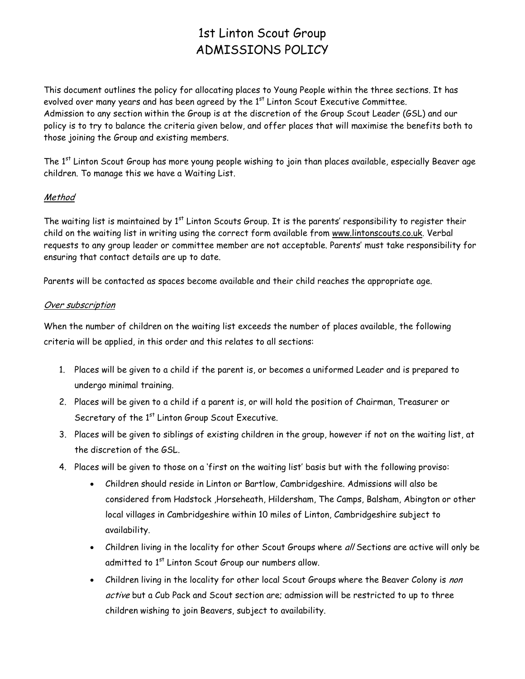# 1st Linton Scout Group ADMISSIONS POLICY

This document outlines the policy for allocating places to Young People within the three sections. It has evolved over many years and has been agreed by the  $1<sup>st</sup>$  Linton Scout Executive Committee. Admission to any section within the Group is at the discretion of the Group Scout Leader (GSL) and our policy is to try to balance the criteria given below, and offer places that will maximise the benefits both to those joining the Group and existing members.

The 1<sup>st</sup> Linton Scout Group has more young people wishing to join than places available, especially Beaver age children. To manage this we have a Waiting List.

## Method

The waiting list is maintained by 1<sup>st</sup> Linton Scouts Group. It is the parents' responsibility to register their child on the waiting list in writing using the correct form available from [www.lintonscouts.co.uk.](http://www.lintonscouts.co.uk/) Verbal requests to any group leader or committee member are not acceptable. Parents' must take responsibility for ensuring that contact details are up to date.

Parents will be contacted as spaces become available and their child reaches the appropriate age.

### Over subscription

When the number of children on the waiting list exceeds the number of places available, the following criteria will be applied, in this order and this relates to all sections:

- 1. Places will be given to a child if the parent is, or becomes a uniformed Leader and is prepared to undergo minimal training.
- 2. Places will be given to a child if a parent is, or will hold the position of Chairman, Treasurer or Secretary of the 1<sup>st</sup> Linton Group Scout Executive.
- 3. Places will be given to siblings of existing children in the group, however if not on the waiting list, at the discretion of the GSL.
- 4. Places will be given to those on a 'first on the waiting list' basis but with the following proviso:
	- Children should reside in Linton or Bartlow, Cambridgeshire. Admissions will also be considered from Hadstock ,Horseheath, Hildersham, The Camps, Balsham, Abington or other local villages in Cambridgeshire within 10 miles of Linton, Cambridgeshire subject to availability.
	- Children living in the locality for other Scout Groups where all Sections are active will only be admitted to 1<sup>st</sup> Linton Scout Group our numbers allow.
	- Children living in the locality for other local Scout Groups where the Beaver Colony is non active but a Cub Pack and Scout section are; admission will be restricted to up to three children wishing to join Beavers, subject to availability.